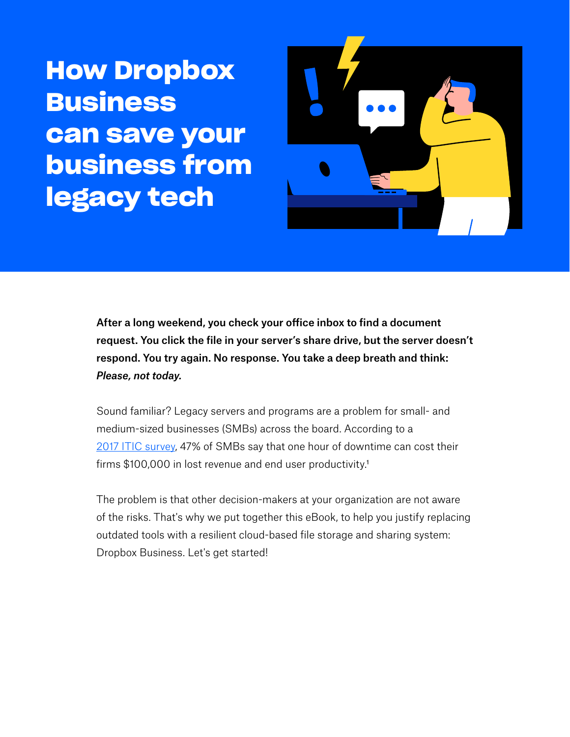**How Dropbox Business can save your business from legacy tech**



After a long weekend, you check your office inbox to find a document request. You click the file in your server's share drive, but the server doesn't respond. You try again. No response. You take a deep breath and think: *Please, not today.*

Sound familiar? Legacy servers and programs are a problem for small- and medium-sized businesses (SMBs) across the board. According to a 2017 ITIC survey, 47% of SMBs say that one hour of downtime can cost their firms \$100,000 in lost revenue and end user productivity.<sup>1</sup>

The problem is that other decision-makers at your organization are not aware of the risks. That's why we put together this eBook, to help you justify replacing outdated tools with a resilient cloud-based file storage and sharing system: Dropbox Business. Let's get started!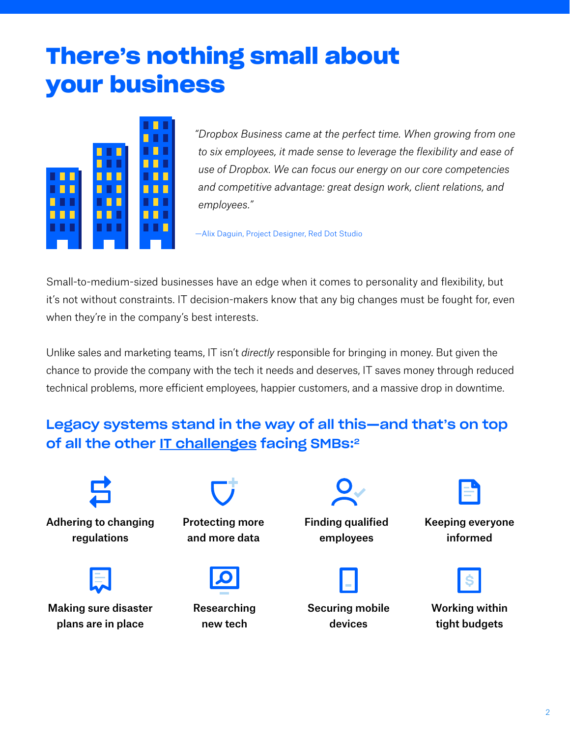## **There's nothing small about your business**



*"Dropbox Business came at the perfect time. When growing from one to six employees, it made sense to leverage the flexibility and ease of use of Dropbox. We can focus our energy on our core competencies and competitive advantage: great design work, client relations, and employees."* 

—Alix Daguin, Project Designer, Red Dot Studio

Small-to-medium-sized businesses have an edge when it comes to personality and flexibility, but it's not without constraints. IT decision-makers know that any big changes must be fought for, even when they're in the company's best interests.

Unlike sales and marketing teams, IT isn't *directly* responsible for bringing in money. But given the chance to provide the company with the tech it needs and deserves, IT saves money through reduced technical problems, more efficient employees, happier customers, and a massive drop in downtime.

## Legacy systems stand in the way of all this—and that's on top of all the other IT challenges facing SMBs:<sup>2</sup>

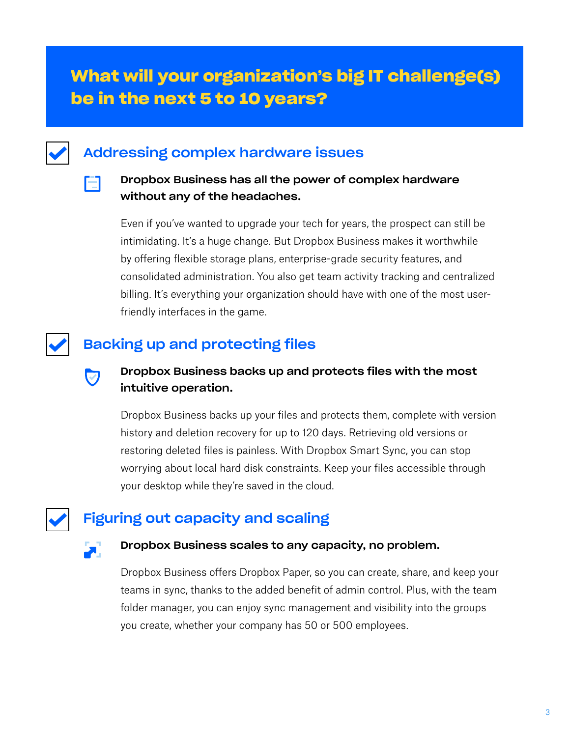## **What will your organization's big IT challenge(s) be in the next 5 to 10 years?**

## Addressing complex hardware issues

#### Dropbox Business has all the power of complex hardware without any of the headaches.

Even if you've wanted to upgrade your tech for years, the prospect can still be intimidating. It's a huge change. But Dropbox Business makes it worthwhile by offering flexible storage plans, enterprise-grade security features, and consolidated administration. You also get team activity tracking and centralized billing. It's everything your organization should have with one of the most userfriendly interfaces in the game.

## Backing up and protecting files

## Dropbox Business backs up and protects files with the most intuitive operation.

Dropbox Business backs up your files and protects them, complete with version history and deletion recovery for up to 120 days. Retrieving old versions or restoring deleted files is painless. With Dropbox Smart Sync, you can stop worrying about local hard disk constraints. Keep your files accessible through your desktop while they're saved in the cloud.

## Figuring out capacity and scaling

Ħ

 $\bm{\nabla}$ 

#### Dropbox Business scales to any capacity, no problem.

Dropbox Business offers Dropbox Paper, so you can create, share, and keep your teams in sync, thanks to the added benefit of admin control. Plus, with the team folder manager, you can enjoy sync management and visibility into the groups you create, whether your company has 50 or 500 employees.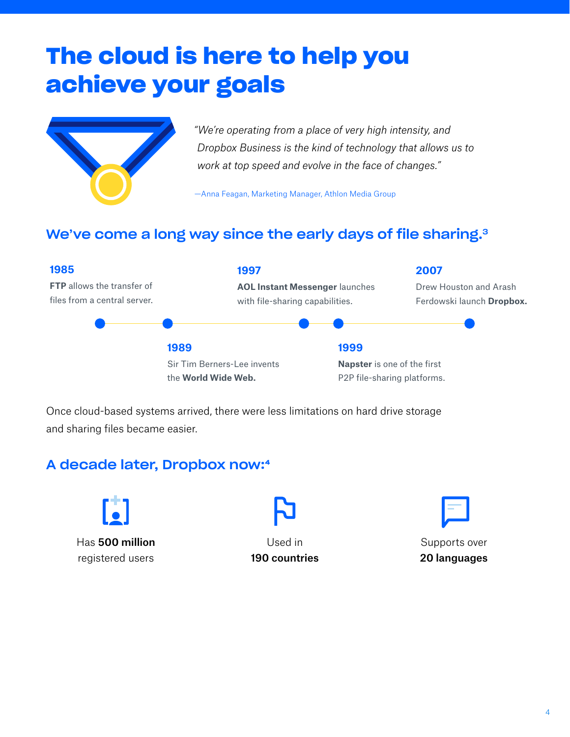# **The cloud is here to help you achieve your goals**



*"We're operating from a place of very high intensity, and Dropbox Business is the kind of technology that allows us to work at top speed and evolve in the face of changes."* 

—Anna Feagan, Marketing Manager, Athlon Media Group

## We've come a long way since the early days of file sharing.<sup>3</sup>



Once cloud-based systems arrived, there were less limitations on hard drive storage and sharing files became easier.

## A decade later, Dropbox now:4



Has 500 million registered users



Used in 190 countries

Supports over 20 languages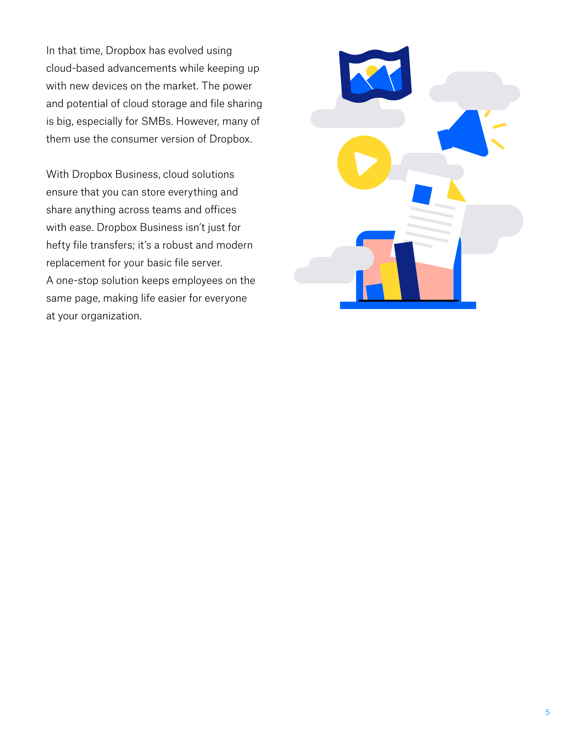In that time, Dropbox has evolved using cloud-based advancements while keeping up with new devices on the market. The power and potential of cloud storage and file sharing is big, especially for SMBs. However, many of them use the consumer version of Dropbox.

With Dropbox Business, cloud solutions ensure that you can store everything and share anything across teams and offices with ease. Dropbox Business isn't just for hefty file transfers; it's a robust and modern replacement for your basic file server. A one-stop solution keeps employees on the same page, making life easier for everyone at your organization.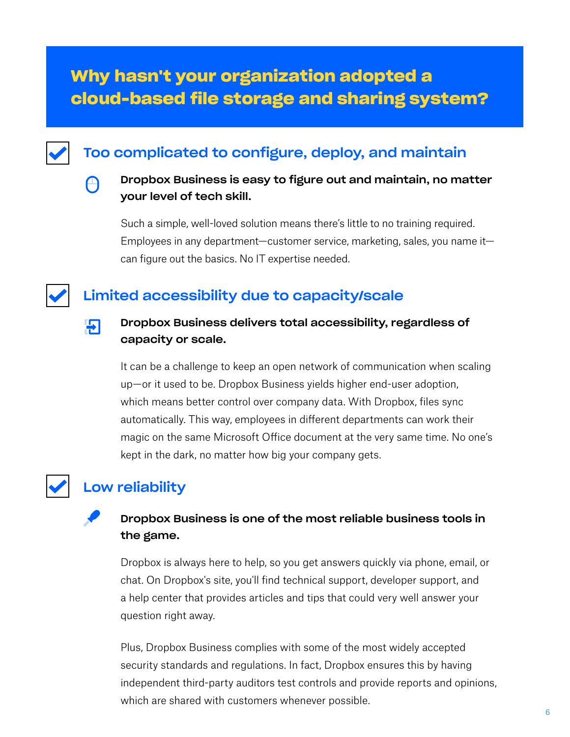## **Why hasn't your organization adopted a cloud-based file storage and sharing system?**

## Too complicated to configure, deploy, and maintain

#### Dropbox Business is easy to figure out and maintain, no matter your level of tech skill.

Such a simple, well-loved solution means there's little to no training required. Employees in any department—customer service, marketing, sales, you name it can figure out the basics. No IT expertise needed.

## Limited accessibility due to capacity/scale



A

#### Dropbox Business delivers total accessibility, regardless of capacity or scale.

It can be a challenge to keep an open network of communication when scaling up—or it used to be. Dropbox Business yields higher end-user adoption, which means better control over company data. With Dropbox, files sync automatically. This way, employees in different departments can work their magic on the same Microsoft Office document at the very same time. No one's kept in the dark, no matter how big your company gets.

## Low reliability

### Dropbox Business is one of the most reliable business tools in the game.

Dropbox is always here to help, so you get answers quickly via phone, email, or chat. On Dropbox's site, you'll find technical support, developer support, and a help center that provides articles and tips that could very well answer your question right away.

Plus, Dropbox Business complies with some of the most widely accepted security standards and regulations. In fact, Dropbox ensures this by having independent third-party auditors test controls and provide reports and opinions, which are shared with customers whenever possible.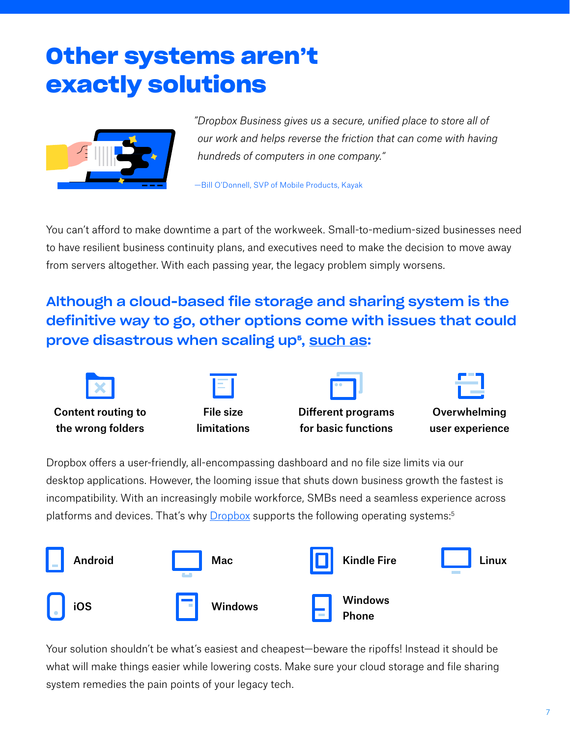# **Other systems aren't exactly solutions**



*"Dropbox Business gives us a secure, unified place to store all of our work and helps reverse the friction that can come with having hundreds of computers in one company."* 

—Bill O'Donnell, SVP of Mobile Products, Kayak

You can't afford to make downtime a part of the workweek. Small-to-medium-sized businesses need to have resilient business continuity plans, and executives need to make the decision to move away from servers altogether. With each passing year, the legacy problem simply worsens.

Although a cloud-based file storage and sharing system is the definitive way to go, other options come with issues that could prove disastrous when scaling up<sup>5</sup>, <u>such as</u>:



Dropbox offers a user-friendly, all-encompassing dashboard and no file size limits via our desktop applications. However, the looming issue that shuts down business growth the fastest is incompatibility. With an increasingly mobile workforce, SMBs need a seamless experience across platforms and devices. That's why **Dropbox** supports the following operating systems:<sup>5</sup>



Your solution shouldn't be what's easiest and cheapest—beware the ripoffs! Instead it should be what will make things easier while lowering costs. Make sure your cloud storage and file sharing system remedies the pain points of your legacy tech.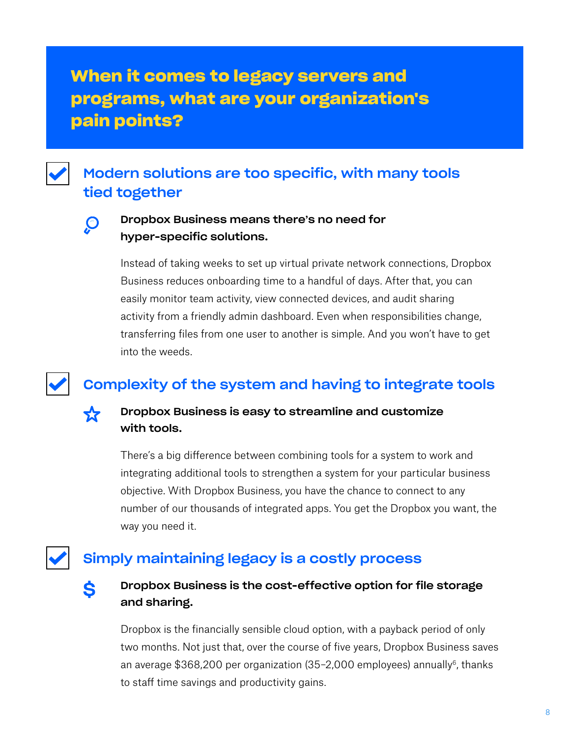## **When it comes to legacy servers and programs, what are your organization's pain points?**

## Modern solutions are too specific, with many tools tied together



ጟ፞፞

#### Dropbox Business means there's no need for hyper-specific solutions.

Instead of taking weeks to set up virtual private network connections, Dropbox Business reduces onboarding time to a handful of days. After that, you can easily monitor team activity, view connected devices, and audit sharing activity from a friendly admin dashboard. Even when responsibilities change, transferring files from one user to another is simple. And you won't have to get into the weeds.

## Complexity of the system and having to integrate tools

#### Dropbox Business is easy to streamline and customize with tools.

There's a big difference between combining tools for a system to work and integrating additional tools to strengthen a system for your particular business objective. With Dropbox Business, you have the chance to connect to any number of our thousands of integrated apps. You get the Dropbox you want, the way you need it.

## Simply maintaining legacy is a costly process



#### Dropbox Business is the cost-effective option for file storage and sharing.

Dropbox is the financially sensible cloud option, with a payback period of only two months. Not just that, over the course of five years, Dropbox Business saves an average \$368,200 per organization (35-2,000 employees) annually<sup>6</sup>, thanks to staff time savings and productivity gains.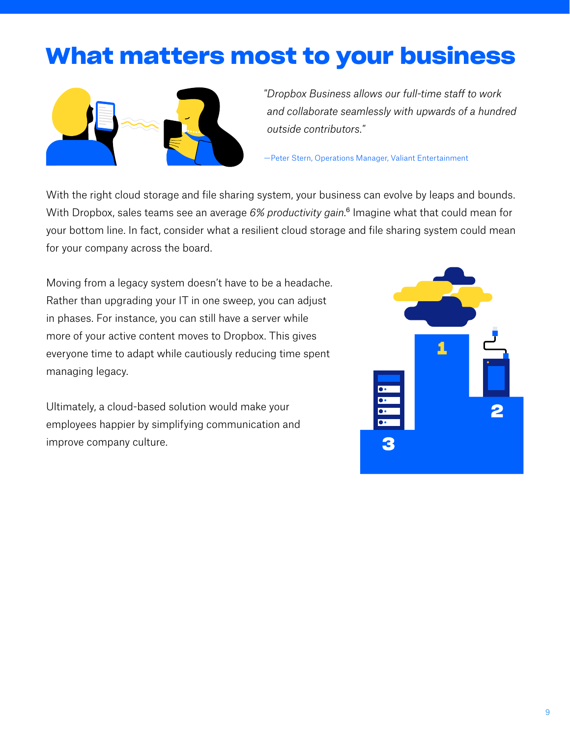## **What matters most to your business**



*"Dropbox Business allows our full-time staff to work and collaborate seamlessly with upwards of a hundred outside contributors."* 

—Peter Stern, Operations Manager, Valiant Entertainment

With the right cloud storage and file sharing system, your business can evolve by leaps and bounds. With Dropbox, sales teams see an average 6% productivity gain.<sup>6</sup> Imagine what that could mean for your bottom line. In fact, consider what a resilient cloud storage and file sharing system could mean for your company across the board.

Moving from a legacy system doesn't have to be a headache. Rather than upgrading your IT in one sweep, you can adjust in phases. For instance, you can still have a server while more of your active content moves to Dropbox. This gives everyone time to adapt while cautiously reducing time spent managing legacy.

Ultimately, a cloud-based solution would make your employees happier by simplifying communication and improve company culture.

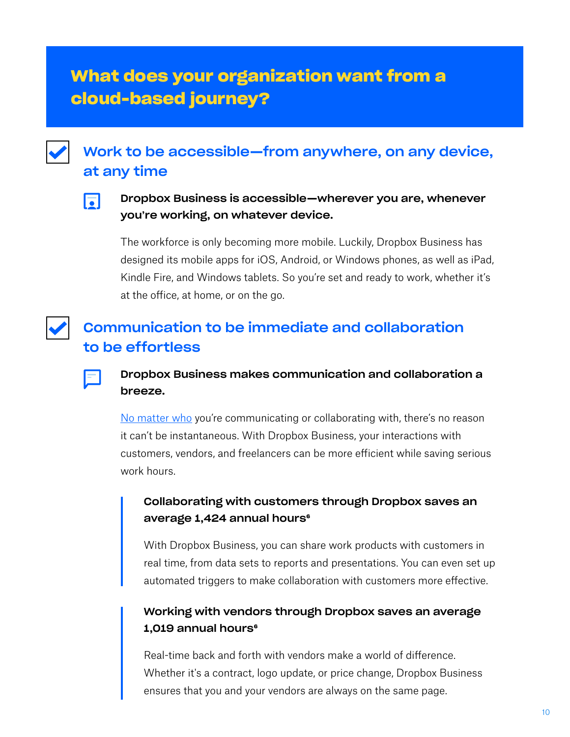## **What does your organization want from a cloud-based journey?**



## Work to be accessible—from anywhere, on any device, at any time



#### Dropbox Business is accessible—wherever you are, whenever you're working, on whatever device.

The workforce is only becoming more mobile. Luckily, Dropbox Business has designed its mobile apps for iOS, Android, or Windows phones, as well as iPad, Kindle Fire, and Windows tablets. So you're set and ready to work, whether it's at the office, at home, or on the go.

## Communication to be immediate and collaboration to be effortless



#### Dropbox Business makes communication and collaboration a breeze.

No matter who you're communicating or collaborating with, there's no reason it can't be instantaneous. With Dropbox Business, your interactions with customers, vendors, and freelancers can be more efficient while saving serious work hours.

#### Collaborating with customers through Dropbox saves an average 1,424 annual hours<sup>6</sup>

With Dropbox Business, you can share work products with customers in real time, from data sets to reports and presentations. You can even set up automated triggers to make collaboration with customers more effective.

#### Working with vendors through Dropbox saves an average  $1,019$  annual hours $e$

Real-time back and forth with vendors make a world of difference. Whether it's a contract, logo update, or price change, Dropbox Business ensures that you and your vendors are always on the same page.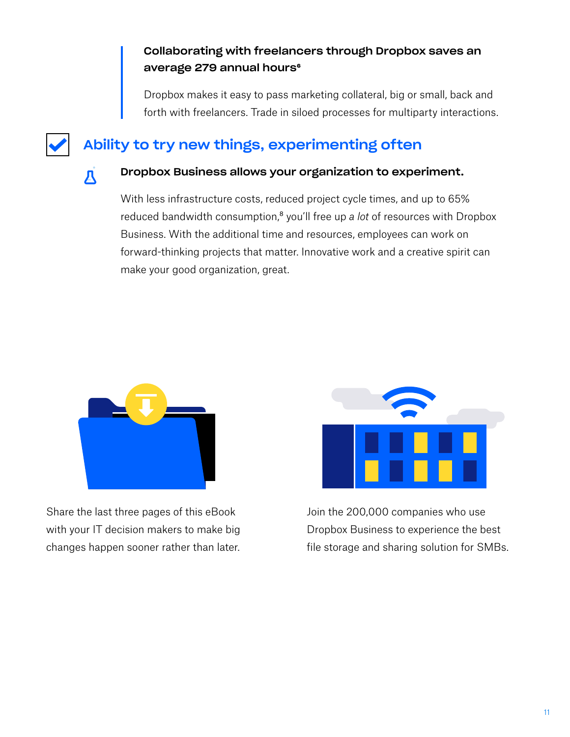#### Collaborating with freelancers through Dropbox saves an average 279 annual hours<sup>6</sup>

Dropbox makes it easy to pass marketing collateral, big or small, back and forth with freelancers. Trade in siloed processes for multiparty interactions.

## Ability to try new things, experimenting often



#### Dropbox Business allows your organization to experiment.

With less infrastructure costs, reduced project cycle times, and up to 65% reduced bandwidth consumption,<sup>8</sup> you'll free up *a lot* of resources with Dropbox Business. With the additional time and resources, employees can work on forward-thinking projects that matter. Innovative work and a creative spirit can make your good organization, great.



Share the last three pages of this eBook with your IT decision makers to make big changes happen sooner rather than later.



Join the 200,000 companies who use Dropbox Business to experience the best file storage and sharing solution for SMBs.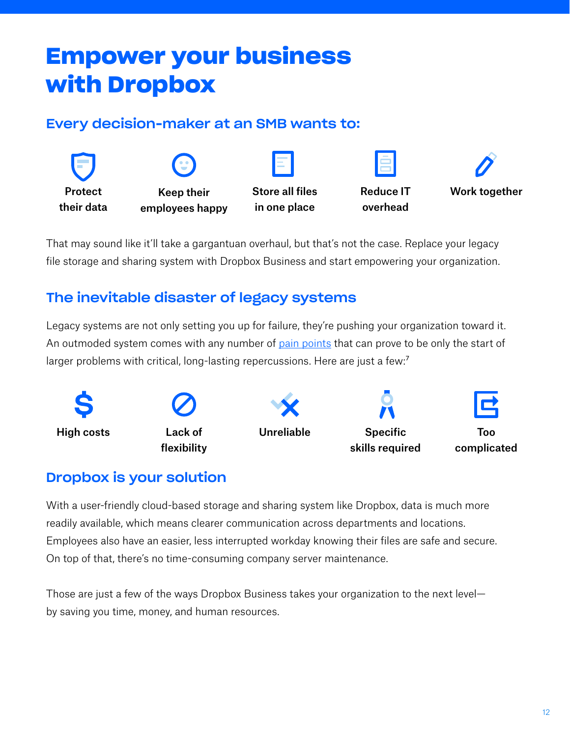## **Empower your business with Dropbox**

## Every decision-maker at an SMB wants to:



That may sound like it'll take a gargantuan overhaul, but that's not the case. Replace your legacy file storage and sharing system with Dropbox Business and start empowering your organization.

## The inevitable disaster of legacy systems

Legacy systems are not only setting you up for failure, they're pushing your organization toward it. An outmoded system comes with any number of pain points that can prove to be only the start of larger problems with critical, long-lasting repercussions. Here are just a few:<sup>7</sup>



## Dropbox is your solution

With a user-friendly cloud-based storage and sharing system like Dropbox, data is much more readily available, which means clearer communication across departments and locations. Employees also have an easier, less interrupted workday knowing their files are safe and secure. On top of that, there's no time-consuming company server maintenance.

Those are just a few of the ways Dropbox Business takes your organization to the next level by saving you time, money, and human resources.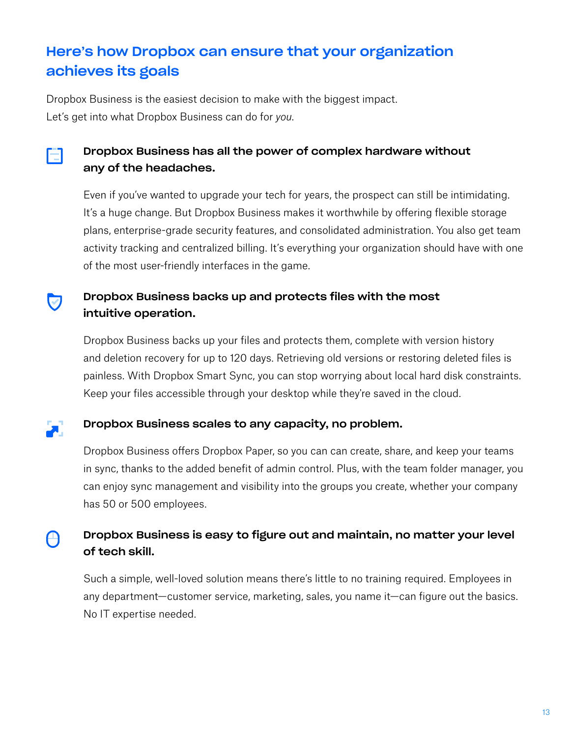## Here's how Dropbox can ensure that your organization achieves its goals

Dropbox Business is the easiest decision to make with the biggest impact. Let's get into what Dropbox Business can do for *you*.



#### Dropbox Business has all the power of complex hardware without any of the headaches.

Even if you've wanted to upgrade your tech for years, the prospect can still be intimidating. It's a huge change. But Dropbox Business makes it worthwhile by offering flexible storage plans, enterprise-grade security features, and consolidated administration. You also get team activity tracking and centralized billing. It's everything your organization should have with one of the most user-friendly interfaces in the game.

#### Dropbox Business backs up and protects files with the most intuitive operation.

Dropbox Business backs up your files and protects them, complete with version history and deletion recovery for up to 120 days. Retrieving old versions or restoring deleted files is painless. With Dropbox Smart Sync, you can stop worrying about local hard disk constraints. Keep your files accessible through your desktop while they're saved in the cloud.



 $\bullet$ 

#### Dropbox Business scales to any capacity, no problem.

Dropbox Business offers Dropbox Paper, so you can can create, share, and keep your teams in sync, thanks to the added benefit of admin control. Plus, with the team folder manager, you can enjoy sync management and visibility into the groups you create, whether your company has 50 or 500 employees.

#### Dropbox Business is easy to figure out and maintain, no matter your level A of tech skill.

Such a simple, well-loved solution means there's little to no training required. Employees in any department—customer service, marketing, sales, you name it—can figure out the basics. No IT expertise needed.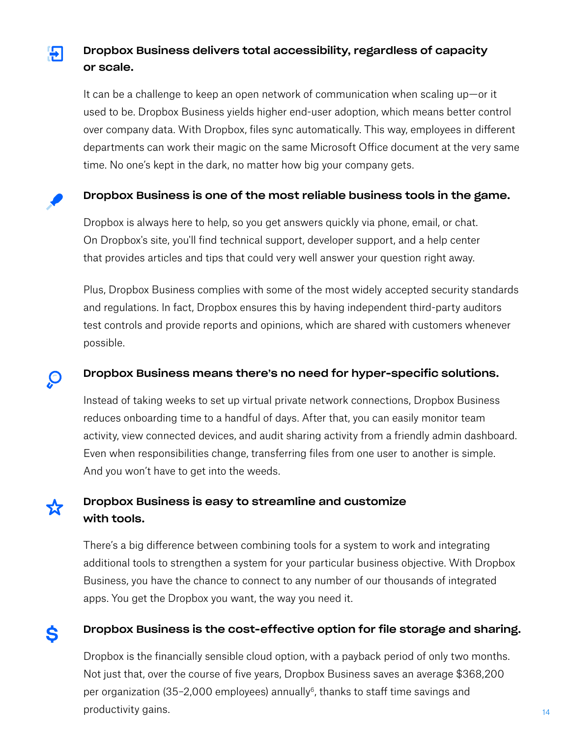#### Dropbox Business delivers total accessibility, regardless of capacity 뭐 or scale.

It can be a challenge to keep an open network of communication when scaling up—or it used to be. Dropbox Business yields higher end-user adoption, which means better control over company data. With Dropbox, files sync automatically. This way, employees in different departments can work their magic on the same Microsoft Office document at the very same time. No one's kept in the dark, no matter how big your company gets.

#### Dropbox Business is one of the most reliable business tools in the game.

Dropbox is always here to help, so you get answers quickly via phone, email, or chat. On Dropbox's site, you'll find technical support, developer support, and a help center that provides articles and tips that could very well answer your question right away.

Plus, Dropbox Business complies with some of the most widely accepted security standards and regulations. In fact, Dropbox ensures this by having independent third-party auditors test controls and provide reports and opinions, which are shared with customers whenever possible.

#### Dropbox Business means there's no need for hyper-specific solutions.

Instead of taking weeks to set up virtual private network connections, Dropbox Business reduces onboarding time to a handful of days. After that, you can easily monitor team activity, view connected devices, and audit sharing activity from a friendly admin dashboard. Even when responsibilities change, transferring files from one user to another is simple. And you won't have to get into the weeds.

#### Dropbox Business is easy to streamline and customize with tools.

 $\Theta$ 

72

There's a big difference between combining tools for a system to work and integrating additional tools to strengthen a system for your particular business objective. With Dropbox Business, you have the chance to connect to any number of our thousands of integrated apps. You get the Dropbox you want, the way you need it.

#### Dropbox Business is the cost-effective option for file storage and sharing. Ś

Dropbox is the financially sensible cloud option, with a payback period of only two months. Not just that, over the course of five years, Dropbox Business saves an average \$368,200 per organization (35–2,000 employees) annually<sup>6</sup>, thanks to staff time savings and productivity gains.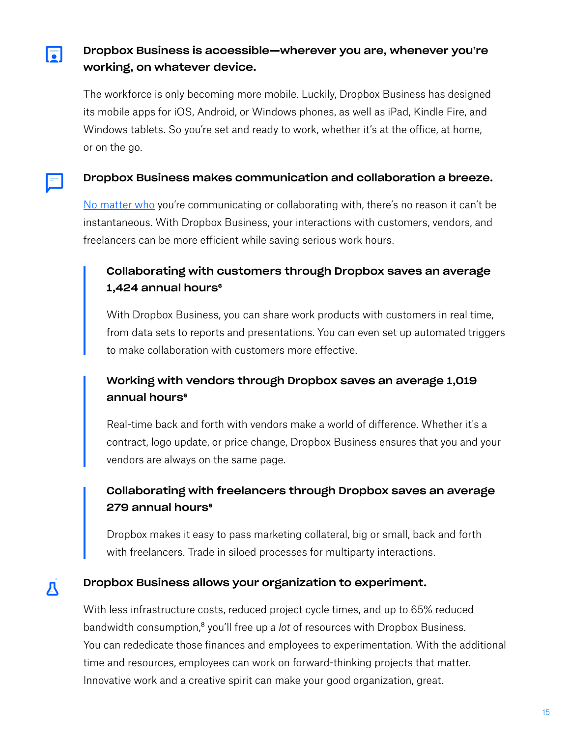Dropbox Business is accessible—wherever you are, whenever you're working, on whatever device.

 $\overline{\bullet}$ 

Д

The workforce is only becoming more mobile. Luckily, Dropbox Business has designed its mobile apps for iOS, Android, or Windows phones, as well as iPad, Kindle Fire, and Windows tablets. So you're set and ready to work, whether it's at the office, at home, or on the go.

#### Dropbox Business makes communication and collaboration a breeze.

No matter who you're communicating or collaborating with, there's no reason it can't be instantaneous. With Dropbox Business, your interactions with customers, vendors, and freelancers can be more efficient while saving serious work hours.

#### Collaborating with customers through Dropbox saves an average 1,424 annual hours<sup>6</sup>

With Dropbox Business, you can share work products with customers in real time, from data sets to reports and presentations. You can even set up automated triggers to make collaboration with customers more effective.

#### Working with vendors through Dropbox saves an average 1,019 annual hours<sup>e</sup>

Real-time back and forth with vendors make a world of difference. Whether it's a contract, logo update, or price change, Dropbox Business ensures that you and your vendors are always on the same page.

#### Collaborating with freelancers through Dropbox saves an average 279 annual hours<sup>6</sup>

Dropbox makes it easy to pass marketing collateral, big or small, back and forth with freelancers. Trade in siloed processes for multiparty interactions.

#### Dropbox Business allows your organization to experiment.

With less infrastructure costs, reduced project cycle times, and up to 65% reduced bandwidth consumption,<sup>8</sup> you'll free up *a lot* of resources with Dropbox Business. You can rededicate those finances and employees to experimentation. With the additional time and resources, employees can work on forward-thinking projects that matter. Innovative work and a creative spirit can make your good organization, great.